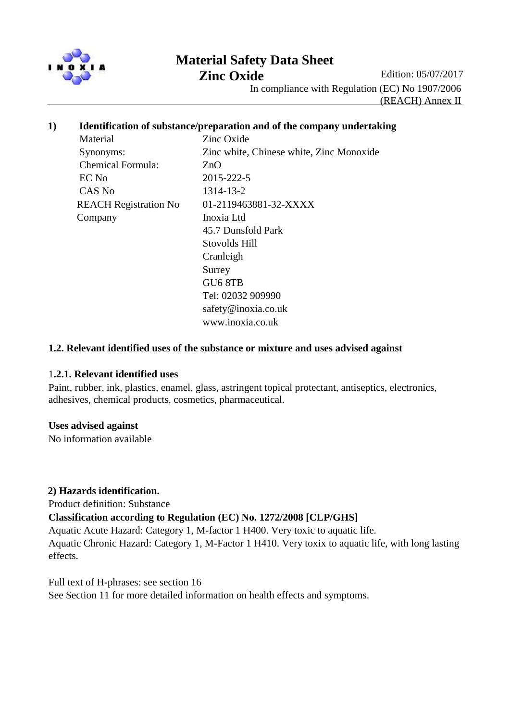

# **Material Safety Data Sheet**

**Zinc Oxide** Edition: 05/07/2017

In compliance with Regulation (EC) No 1907/2006

(REACH) Annex II

## **1) Identification of substance/preparation and of the company undertaking**

Material **Zinc Oxide**  Chemical Formula: ZnO EC No 2015-222-5 CAS No 1314-13-2 Company Inoxia Ltd

 Synonyms: Zinc white, Chinese white, Zinc Monoxide REACH Registration No 01-2119463881-32-XXXX 45.7 Dunsfold Park Stovolds Hill Cranleigh Surrey GU6 8TB Tel: 02032 909990 safety@inoxia.co.uk www.inoxia.co.uk

## **1.2. Relevant identified uses of the substance or mixture and uses advised against**

#### 1**.2.1. Relevant identified uses**

Paint, rubber, ink, plastics, enamel, glass, astringent topical protectant, antiseptics, electronics, adhesives, chemical products, cosmetics, pharmaceutical.

#### **Uses advised against**

No information available

## **2) Hazards identification.**

Product definition: Substance

**Classification according to Regulation (EC) No. 1272/2008 [CLP/GHS]**

Aquatic Acute Hazard: Category 1, M-factor 1 H400. Very toxic to aquatic life. Aquatic Chronic Hazard: Category 1, M-Factor 1 H410. Very toxix to aquatic life, with long lasting effects.

Full text of H-phrases: see section 16 See Section 11 for more detailed information on health effects and symptoms.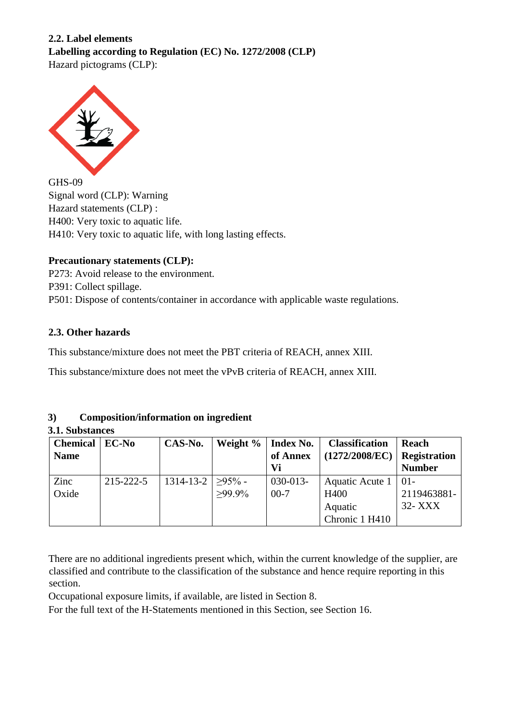# **2.2. Label elements Labelling according to Regulation (EC) No. 1272/2008 (CLP)** Hazard pictograms (CLP):



GHS-09 Signal word (CLP): Warning Hazard statements (CLP) : H400: Very toxic to aquatic life. H410: Very toxic to aquatic life, with long lasting effects.

# **Precautionary statements (CLP):**

P273: Avoid release to the environment. P391: Collect spillage. P501: Dispose of contents/container in accordance with applicable waste regulations.

# **2.3. Other hazards**

This substance/mixture does not meet the PBT criteria of REACH, annex XIII.

This substance/mixture does not meet the vPvB criteria of REACH, annex XIII.

# **3) Composition/information on ingredient**

**3.1. Substances**

| <b>Chemical</b> | EC-No     | CAS-No.                         | Weight %  | <b>Index No.</b> | <b>Classification</b> | Reach               |
|-----------------|-----------|---------------------------------|-----------|------------------|-----------------------|---------------------|
| <b>Name</b>     |           |                                 |           | of Annex         | (1272/2008/EC)        | <b>Registration</b> |
|                 |           |                                 |           | Vi               |                       | <b>Number</b>       |
| Zinc            | 215-222-5 | $1314 - 13 - 2$   $\geq 95\%$ - |           | 030-013-         | Aquatic Acute 1       | $01 -$              |
| Oxide           |           |                                 | $>99.9\%$ | $00 - 7$         | H400                  | 2119463881-         |
|                 |           |                                 |           |                  | Aquatic               | 32- XXX             |
|                 |           |                                 |           |                  | Chronic 1 H410        |                     |

There are no additional ingredients present which, within the current knowledge of the supplier, are classified and contribute to the classification of the substance and hence require reporting in this section.

Occupational exposure limits, if available, are listed in Section 8.

For the full text of the H-Statements mentioned in this Section, see Section 16.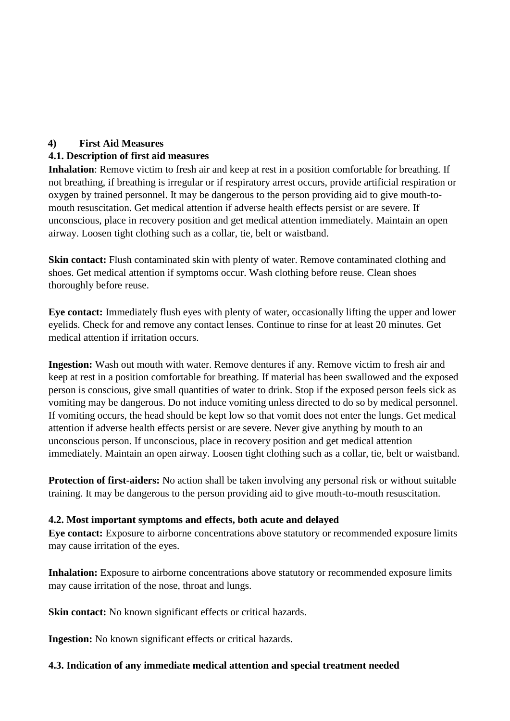## **4) First Aid Measures**

## **4.1. Description of first aid measures**

**Inhalation**: Remove victim to fresh air and keep at rest in a position comfortable for breathing. If not breathing, if breathing is irregular or if respiratory arrest occurs, provide artificial respiration or oxygen by trained personnel. It may be dangerous to the person providing aid to give mouth-tomouth resuscitation. Get medical attention if adverse health effects persist or are severe. If unconscious, place in recovery position and get medical attention immediately. Maintain an open airway. Loosen tight clothing such as a collar, tie, belt or waistband.

**Skin contact:** Flush contaminated skin with plenty of water. Remove contaminated clothing and shoes. Get medical attention if symptoms occur. Wash clothing before reuse. Clean shoes thoroughly before reuse.

**Eye contact:** Immediately flush eyes with plenty of water, occasionally lifting the upper and lower eyelids. Check for and remove any contact lenses. Continue to rinse for at least 20 minutes. Get medical attention if irritation occurs.

**Ingestion:** Wash out mouth with water. Remove dentures if any. Remove victim to fresh air and keep at rest in a position comfortable for breathing. If material has been swallowed and the exposed person is conscious, give small quantities of water to drink. Stop if the exposed person feels sick as vomiting may be dangerous. Do not induce vomiting unless directed to do so by medical personnel. If vomiting occurs, the head should be kept low so that vomit does not enter the lungs. Get medical attention if adverse health effects persist or are severe. Never give anything by mouth to an unconscious person. If unconscious, place in recovery position and get medical attention immediately. Maintain an open airway. Loosen tight clothing such as a collar, tie, belt or waistband.

**Protection of first-aiders:** No action shall be taken involving any personal risk or without suitable training. It may be dangerous to the person providing aid to give mouth-to-mouth resuscitation.

## **4.2. Most important symptoms and effects, both acute and delayed**

**Eye contact:** Exposure to airborne concentrations above statutory or recommended exposure limits may cause irritation of the eyes.

**Inhalation:** Exposure to airborne concentrations above statutory or recommended exposure limits may cause irritation of the nose, throat and lungs.

**Skin contact:** No known significant effects or critical hazards.

**Ingestion:** No known significant effects or critical hazards.

## **4.3. Indication of any immediate medical attention and special treatment needed**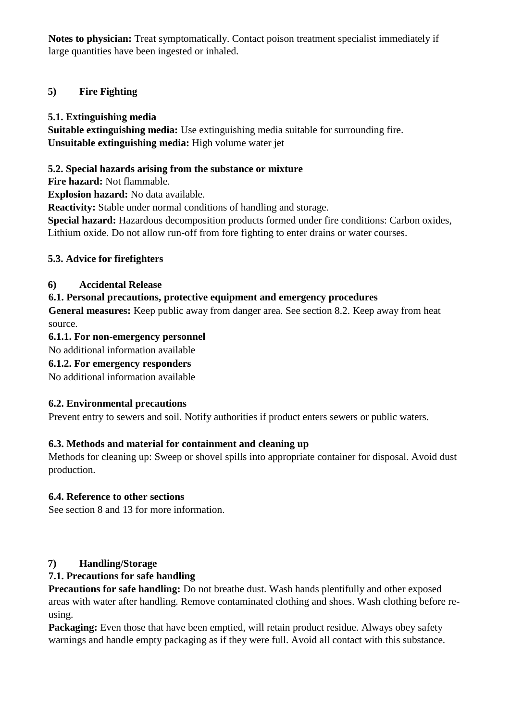**Notes to physician:** Treat symptomatically. Contact poison treatment specialist immediately if large quantities have been ingested or inhaled.

# **5) Fire Fighting**

# **5.1. Extinguishing media**

**Suitable extinguishing media:** Use extinguishing media suitable for surrounding fire. **Unsuitable extinguishing media:** High volume water jet

# **5.2. Special hazards arising from the substance or mixture**

**Fire hazard:** Not flammable.

**Explosion hazard:** No data available.

**Reactivity:** Stable under normal conditions of handling and storage.

**Special hazard:** Hazardous decomposition products formed under fire conditions: Carbon oxides, Lithium oxide. Do not allow run-off from fore fighting to enter drains or water courses.

# **5.3. Advice for firefighters**

# **6) Accidental Release**

# **6.1. Personal precautions, protective equipment and emergency procedures**

**General measures:** Keep public away from danger area. See section 8.2. Keep away from heat source.

# **6.1.1. For non-emergency personnel**

No additional information available

# **6.1.2. For emergency responders**

No additional information available

# **6.2. Environmental precautions**

Prevent entry to sewers and soil. Notify authorities if product enters sewers or public waters.

# **6.3. Methods and material for containment and cleaning up**

Methods for cleaning up: Sweep or shovel spills into appropriate container for disposal. Avoid dust production.

# **6.4. Reference to other sections**

See section 8 and 13 for more information.

# **7) Handling/Storage**

# **7.1. Precautions for safe handling**

**Precautions for safe handling:** Do not breathe dust. Wash hands plentifully and other exposed areas with water after handling. Remove contaminated clothing and shoes. Wash clothing before reusing.

**Packaging:** Even those that have been emptied, will retain product residue. Always obey safety warnings and handle empty packaging as if they were full. Avoid all contact with this substance.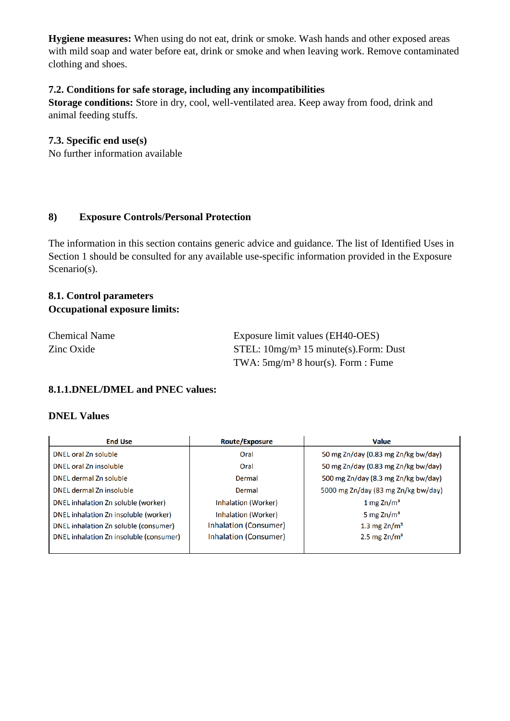**Hygiene measures:** When using do not eat, drink or smoke. Wash hands and other exposed areas with mild soap and water before eat, drink or smoke and when leaving work. Remove contaminated clothing and shoes.

## **7.2. Conditions for safe storage, including any incompatibilities**

**Storage conditions:** Store in dry, cool, well-ventilated area. Keep away from food, drink and animal feeding stuffs.

#### **7.3. Specific end use(s)**

No further information available

#### **8) Exposure Controls/Personal Protection**

The information in this section contains generic advice and guidance. The list of Identified Uses in Section 1 should be consulted for any available use-specific information provided in the Exposure Scenario(s).

## **8.1. Control parameters Occupational exposure limits:**

| <b>Chemical Name</b> | Exposure limit values (EH40-OES)          |  |
|----------------------|-------------------------------------------|--|
| Zinc Oxide           | STEL: $10mg/m^3$ 15 minute(s). Form: Dust |  |
|                      | TWA: $5mg/m^3$ 8 hour(s). Form : Fume     |  |

## **8.1.1.DNEL/DMEL and PNEC values:**

#### **DNEL Values**

| <b>End Use</b>                          | <b>Route/Exposure</b>      | <b>Value</b>                        |  |
|-----------------------------------------|----------------------------|-------------------------------------|--|
| DNEL oral Zn soluble                    | Oral                       | 50 mg Zn/day (0.83 mg Zn/kg bw/day) |  |
| DNEL oral Zn insoluble                  | Oral                       | 50 mg Zn/day (0.83 mg Zn/kg bw/day) |  |
| DNEL dermal Zn soluble                  | Dermal                     | 500 mg Zn/day (8.3 mg Zn/kg bw/day) |  |
| DNEL dermal Zn insoluble                | Dermal                     | 5000 mg Zn/day (83 mg Zn/kg bw/day) |  |
| DNEL inhalation Zn soluble (worker)     | Inhalation (Worker)        | 1 mg $Zn/m3$                        |  |
| DNEL inhalation Zn insoluble (worker)   | <b>Inhalation (Worker)</b> | 5 mg $Zn/m3$                        |  |
| DNEL inhalation Zn soluble (consumer)   | Inhalation (Consumer)      | 1.3 mg $Zn/m3$                      |  |
| DNEL inhalation Zn insoluble (consumer) | Inhalation (Consumer)      | 2.5 mg $Zn/m3$                      |  |
|                                         |                            |                                     |  |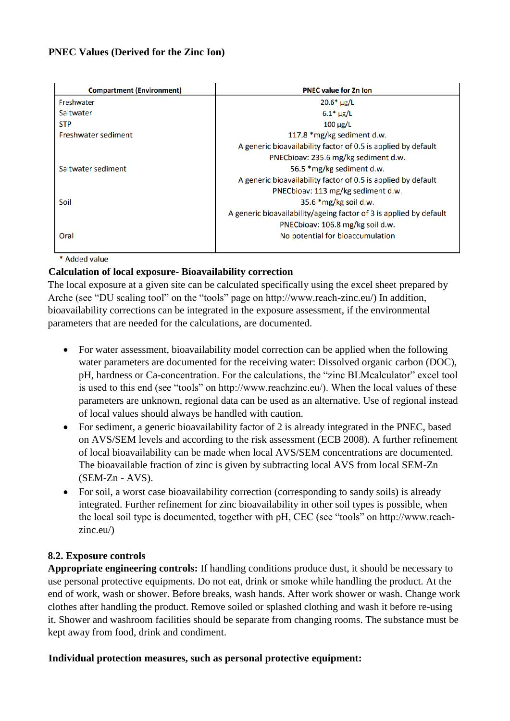## **PNEC Values (Derived for the Zinc Ion)**

| <b>Compartment (Environment)</b> | <b>PNEC value for Zn Ion</b>                                       |  |
|----------------------------------|--------------------------------------------------------------------|--|
| Freshwater                       | $20.6* \mu g/L$                                                    |  |
| Saltwater                        | $6.1* \mu g/L$                                                     |  |
| <b>STP</b>                       | $100 \mu g/L$                                                      |  |
| Freshwater sediment              | 117.8 *mg/kg sediment d.w.                                         |  |
|                                  | A generic bioavailability factor of 0.5 is applied by default      |  |
|                                  | PNECbioav: 235.6 mg/kg sediment d.w.                               |  |
| Saltwater sediment               | 56.5 *mg/kg sediment d.w.                                          |  |
|                                  | A generic bioavailability factor of 0.5 is applied by default      |  |
|                                  | PNECbioav: 113 mg/kg sediment d.w.                                 |  |
| Soil                             | $35.6$ *mg/kg soil d.w.                                            |  |
|                                  | A generic bioavailability/ageing factor of 3 is applied by default |  |
|                                  | PNECbioav: 106.8 mg/kg soil d.w.                                   |  |
| Oral                             | No potential for bioaccumulation                                   |  |

\* Added value

## **Calculation of local exposure- Bioavailability correction**

The local exposure at a given site can be calculated specifically using the excel sheet prepared by Arche (see "DU scaling tool" on the "tools" page on http://www.reach-zinc.eu/) In addition, bioavailability corrections can be integrated in the exposure assessment, if the environmental parameters that are needed for the calculations, are documented.

- For water assessment, bioavailability model correction can be applied when the following water parameters are documented for the receiving water: Dissolved organic carbon (DOC), pH, hardness or Ca-concentration. For the calculations, the "zinc BLMcalculator" excel tool is used to this end (see "tools" on http://www.reachzinc.eu/). When the local values of these parameters are unknown, regional data can be used as an alternative. Use of regional instead of local values should always be handled with caution.
- For sediment, a generic bioavailability factor of 2 is already integrated in the PNEC, based on AVS/SEM levels and according to the risk assessment (ECB 2008). A further refinement of local bioavailability can be made when local AVS/SEM concentrations are documented. The bioavailable fraction of zinc is given by subtracting local AVS from local SEM-Zn (SEM-Zn - AVS).
- For soil, a worst case bioavailability correction (corresponding to sandy soils) is already integrated. Further refinement for zinc bioavailability in other soil types is possible, when the local soil type is documented, together with pH, CEC (see "tools" on http://www.reachzinc.eu/)

# **8.2. Exposure controls**

**Appropriate engineering controls:** If handling conditions produce dust, it should be necessary to use personal protective equipments. Do not eat, drink or smoke while handling the product. At the end of work, wash or shower. Before breaks, wash hands. After work shower or wash. Change work clothes after handling the product. Remove soiled or splashed clothing and wash it before re-using it. Shower and washroom facilities should be separate from changing rooms. The substance must be kept away from food, drink and condiment.

## **Individual protection measures, such as personal protective equipment:**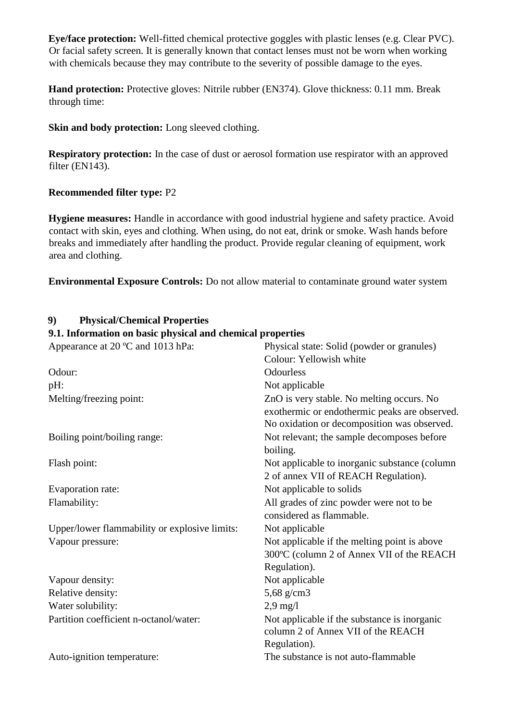**Eye/face protection:** Well-fitted chemical protective goggles with plastic lenses (e.g. Clear PVC). Or facial safety screen. It is generally known that contact lenses must not be worn when working with chemicals because they may contribute to the severity of possible damage to the eyes.

**Hand protection:** Protective gloves: Nitrile rubber (EN374). Glove thickness: 0.11 mm. Break through time:

**Skin and body protection:** Long sleeved clothing.

**Respiratory protection:** In the case of dust or aerosol formation use respirator with an approved filter (EN143).

## **Recommended filter type:** P2

**9) Physical/Chemical Properties**

**Hygiene measures:** Handle in accordance with good industrial hygiene and safety practice. Avoid contact with skin, eyes and clothing. When using, do not eat, drink or smoke. Wash hands before breaks and immediately after handling the product. Provide regular cleaning of equipment, work area and clothing.

**Environmental Exposure Controls:** Do not allow material to contaminate ground water system

| 9.1. Information on basic physical and chemical properties |  |
|------------------------------------------------------------|--|
| Physical state: Solid (powder or granules)                 |  |
| Colour: Yellowish white                                    |  |
| <b>Odourless</b>                                           |  |
| Not applicable                                             |  |
| ZnO is very stable. No melting occurs. No                  |  |
| exothermic or endothermic peaks are observed.              |  |
| No oxidation or decomposition was observed.                |  |
| Not relevant; the sample decomposes before                 |  |
| boiling.                                                   |  |
| Not applicable to inorganic substance (column              |  |
| 2 of annex VII of REACH Regulation).                       |  |
| Not applicable to solids                                   |  |
| All grades of zinc powder were not to be                   |  |
| considered as flammable.                                   |  |
| Not applicable                                             |  |
| Not applicable if the melting point is above               |  |
| 300°C (column 2 of Annex VII of the REACH                  |  |
| Regulation).                                               |  |
| Not applicable                                             |  |
| 5,68 g/cm3                                                 |  |
| $2.9 \text{ mg}/l$                                         |  |
| Not applicable if the substance is inorganic               |  |
| column 2 of Annex VII of the REACH                         |  |
| Regulation).                                               |  |
| The substance is not auto-flammable                        |  |
|                                                            |  |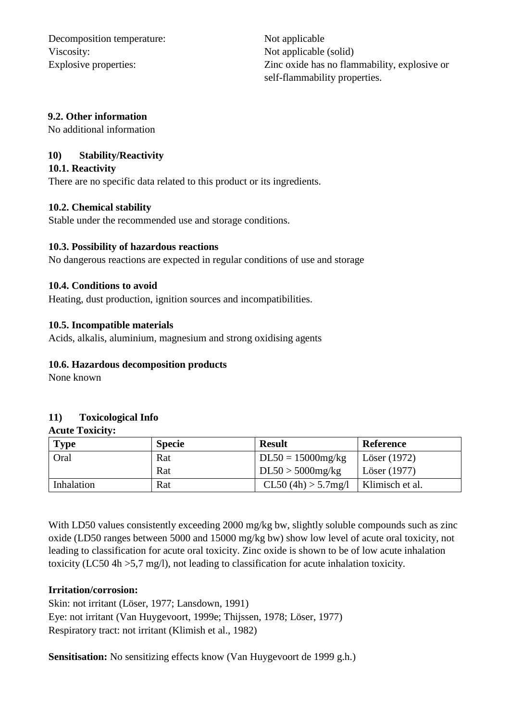Decomposition temperature: Not applicable Viscosity: Not applicable (solid)

Explosive properties: Zinc oxide has no flammability, explosive or self-flammability properties.

### **9.2. Other information**

No additional information

## **10) Stability/Reactivity**

### **10.1. Reactivity**

There are no specific data related to this product or its ingredients.

#### **10.2. Chemical stability**

Stable under the recommended use and storage conditions.

#### **10.3. Possibility of hazardous reactions**

No dangerous reactions are expected in regular conditions of use and storage

#### **10.4. Conditions to avoid**

Heating, dust production, ignition sources and incompatibilities.

#### **10.5. Incompatible materials**

Acids, alkalis, aluminium, magnesium and strong oxidising agents

### **10.6. Hazardous decomposition products**

None known

# **11) Toxicological Info**

#### **Acute Toxicity:**

| <b>Type</b> | <b>Specie</b> | <b>Result</b>        | <b>Reference</b> |
|-------------|---------------|----------------------|------------------|
| Oral        | Rat           | $DL50 = 15000$ mg/kg | Löser (1972)     |
|             | Rat           | $DL50 > 5000$ mg/kg  | Löser (1977)     |
| Inhalation  | Rat           | CL50(4h) > 5.7mg/l   | Klimisch et al.  |

With LD50 values consistently exceeding 2000 mg/kg bw, slightly soluble compounds such as zinc oxide (LD50 ranges between 5000 and 15000 mg/kg bw) show low level of acute oral toxicity, not leading to classification for acute oral toxicity. Zinc oxide is shown to be of low acute inhalation toxicity (LC50 4h >5,7 mg/l), not leading to classification for acute inhalation toxicity.

## **Irritation/corrosion:**

Skin: not irritant (Löser, 1977; Lansdown, 1991) Eye: not irritant (Van Huygevoort, 1999e; Thijssen, 1978; Löser, 1977) Respiratory tract: not irritant (Klimish et al., 1982)

**Sensitisation:** No sensitizing effects know (Van Huygevoort de 1999 g.h.)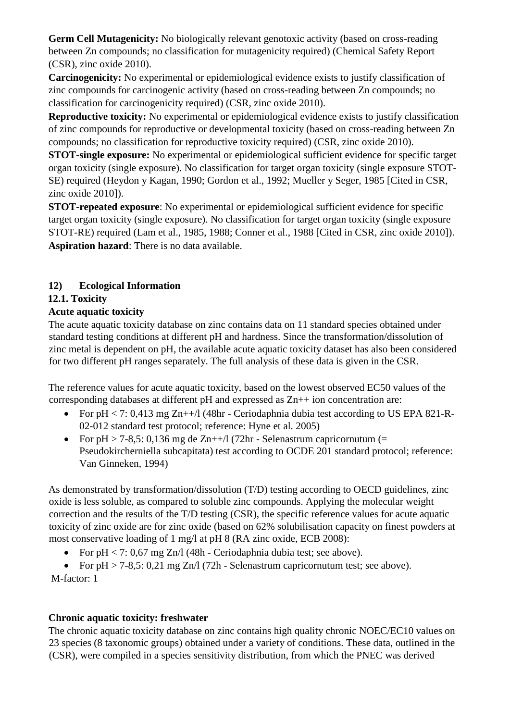**Germ Cell Mutagenicity:** No biologically relevant genotoxic activity (based on cross-reading between Zn compounds; no classification for mutagenicity required) (Chemical Safety Report (CSR), zinc oxide 2010).

**Carcinogenicity:** No experimental or epidemiological evidence exists to justify classification of zinc compounds for carcinogenic activity (based on cross-reading between Zn compounds; no classification for carcinogenicity required) (CSR, zinc oxide 2010).

**Reproductive toxicity:** No experimental or epidemiological evidence exists to justify classification of zinc compounds for reproductive or developmental toxicity (based on cross-reading between Zn compounds; no classification for reproductive toxicity required) (CSR, zinc oxide 2010).

**STOT-single exposure:** No experimental or epidemiological sufficient evidence for specific target organ toxicity (single exposure). No classification for target organ toxicity (single exposure STOT-SE) required (Heydon y Kagan, 1990; Gordon et al., 1992; Mueller y Seger, 1985 [Cited in CSR, zinc oxide 2010]).

**STOT-repeated exposure**: No experimental or epidemiological sufficient evidence for specific target organ toxicity (single exposure). No classification for target organ toxicity (single exposure STOT-RE) required (Lam et al., 1985, 1988; Conner et al., 1988 [Cited in CSR, zinc oxide 2010]). **Aspiration hazard**: There is no data available.

# **12) Ecological Information**

# **12.1. Toxicity**

# **Acute aquatic toxicity**

The acute aquatic toxicity database on zinc contains data on 11 standard species obtained under standard testing conditions at different pH and hardness. Since the transformation/dissolution of zinc metal is dependent on pH, the available acute aquatic toxicity dataset has also been considered for two different pH ranges separately. The full analysis of these data is given in the CSR.

The reference values for acute aquatic toxicity, based on the lowest observed EC50 values of the corresponding databases at different pH and expressed as Zn++ ion concentration are:

- For  $pH < 7: 0,413$  mg  $Zn++/I$  (48hr Ceriodaphnia dubia test according to US EPA 821-R-02-012 standard test protocol; reference: Hyne et al. 2005)
- For  $pH > 7-8.5$ : 0,136 mg de Zn++/l (72hr Selenastrum capricornutum (= Pseudokircherniella subcapitata) test according to OCDE 201 standard protocol; reference: Van Ginneken, 1994)

As demonstrated by transformation/dissolution (T/D) testing according to OECD guidelines, zinc oxide is less soluble, as compared to soluble zinc compounds. Applying the molecular weight correction and the results of the T/D testing (CSR), the specific reference values for acute aquatic toxicity of zinc oxide are for zinc oxide (based on 62% solubilisation capacity on finest powders at most conservative loading of 1 mg/l at pH 8 (RA zinc oxide, ECB 2008):

• For  $pH < 7: 0.67$  mg Zn/l (48h - Ceriodaphnia dubia test; see above).

• For  $pH > 7-8,5: 0,21$  mg Zn/l (72h - Selenastrum capricornutum test; see above).

M-factor: 1

# **Chronic aquatic toxicity: freshwater**

The chronic aquatic toxicity database on zinc contains high quality chronic NOEC/EC10 values on 23 species (8 taxonomic groups) obtained under a variety of conditions. These data, outlined in the (CSR), were compiled in a species sensitivity distribution, from which the PNEC was derived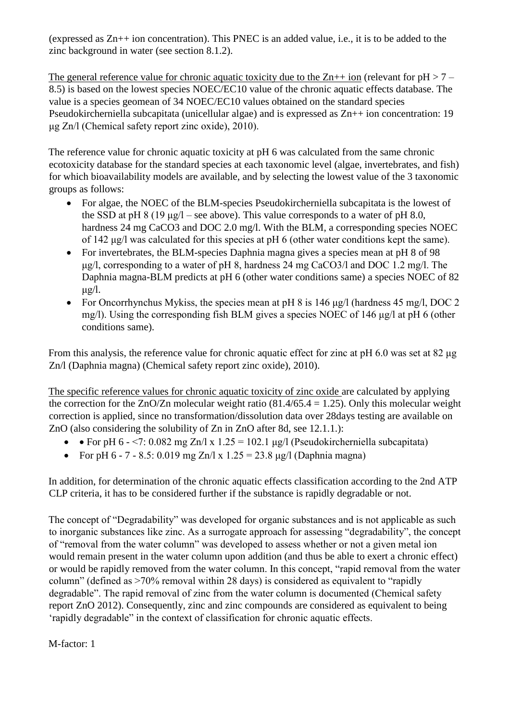(expressed as Zn++ ion concentration). This PNEC is an added value, i.e., it is to be added to the zinc background in water (see section 8.1.2).

The general reference value for chronic aquatic toxicity due to the  $Zn++$  ion (relevant for  $pH > 7$  – 8.5) is based on the lowest species NOEC/EC10 value of the chronic aquatic effects database. The value is a species geomean of 34 NOEC/EC10 values obtained on the standard species Pseudokircherniella subcapitata (unicellular algae) and is expressed as Zn++ ion concentration: 19 μg Zn/l (Chemical safety report zinc oxide), 2010).

The reference value for chronic aquatic toxicity at pH 6 was calculated from the same chronic ecotoxicity database for the standard species at each taxonomic level (algae, invertebrates, and fish) for which bioavailability models are available, and by selecting the lowest value of the 3 taxonomic groups as follows:

- For algae, the NOEC of the BLM-species Pseudokircherniella subcapitata is the lowest of the SSD at pH  $8(19 \text{ µg/l} - \text{see above})$ . This value corresponds to a water of pH 8.0, hardness 24 mg CaCO3 and DOC 2.0 mg/l. With the BLM, a corresponding species NOEC of 142 μg/l was calculated for this species at pH 6 (other water conditions kept the same).
- For invertebrates, the BLM-species Daphnia magna gives a species mean at pH 8 of 98 μg/l, corresponding to a water of pH 8, hardness 24 mg CaCO3/l and DOC 1.2 mg/l. The Daphnia magna-BLM predicts at pH 6 (other water conditions same) a species NOEC of 82  $\mu$ g/l.
- For Oncorrhynchus Mykiss, the species mean at pH 8 is 146  $\mu$ g/l (hardness 45 mg/l, DOC 2 mg/l). Using the corresponding fish BLM gives a species NOEC of 146 μg/l at pH 6 (other conditions same).

From this analysis, the reference value for chronic aquatic effect for zinc at pH 6.0 was set at 82 μg Zn/l (Daphnia magna) (Chemical safety report zinc oxide), 2010).

The specific reference values for chronic aquatic toxicity of zinc oxide are calculated by applying the correction for the  $ZnO/Zn$  molecular weight ratio (81.4/65.4 = 1.25). Only this molecular weight correction is applied, since no transformation/dissolution data over 28days testing are available on ZnO (also considering the solubility of Zn in ZnO after 8d, see 12.1.1.):

- • For pH 6 <7: 0.082 mg Zn/l x  $1.25 = 102.1 \mu g/l$  (Pseudokircherniella subcapitata)
- For pH 6 7 8.5: 0.019 mg Zn/l x  $1.25 = 23.8$  ug/l (Daphnia magna)

In addition, for determination of the chronic aquatic effects classification according to the 2nd ATP CLP criteria, it has to be considered further if the substance is rapidly degradable or not.

The concept of "Degradability" was developed for organic substances and is not applicable as such to inorganic substances like zinc. As a surrogate approach for assessing "degradability", the concept of "removal from the water column" was developed to assess whether or not a given metal ion would remain present in the water column upon addition (and thus be able to exert a chronic effect) or would be rapidly removed from the water column. In this concept, "rapid removal from the water column" (defined as >70% removal within 28 days) is considered as equivalent to "rapidly degradable". The rapid removal of zinc from the water column is documented (Chemical safety report ZnO 2012). Consequently, zinc and zinc compounds are considered as equivalent to being 'rapidly degradable" in the context of classification for chronic aquatic effects.

M-factor: 1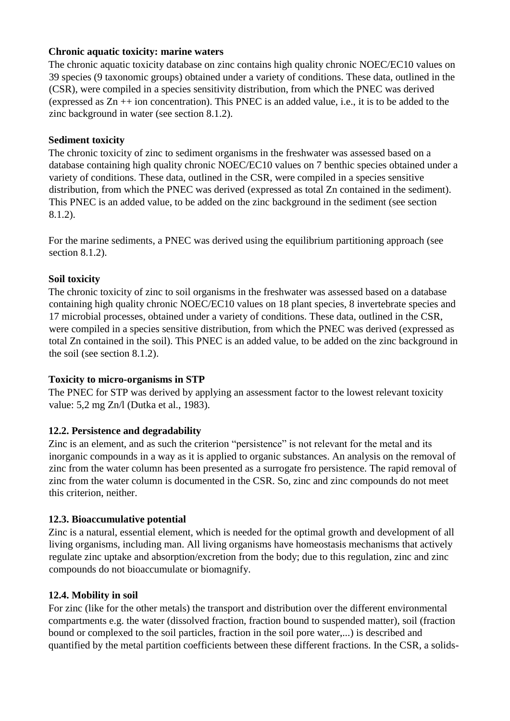## **Chronic aquatic toxicity: marine waters**

The chronic aquatic toxicity database on zinc contains high quality chronic NOEC/EC10 values on 39 species (9 taxonomic groups) obtained under a variety of conditions. These data, outlined in the (CSR), were compiled in a species sensitivity distribution, from which the PNEC was derived (expressed as Zn ++ ion concentration). This PNEC is an added value, i.e., it is to be added to the zinc background in water (see section 8.1.2).

## **Sediment toxicity**

The chronic toxicity of zinc to sediment organisms in the freshwater was assessed based on a database containing high quality chronic NOEC/EC10 values on 7 benthic species obtained under a variety of conditions. These data, outlined in the CSR, were compiled in a species sensitive distribution, from which the PNEC was derived (expressed as total Zn contained in the sediment). This PNEC is an added value, to be added on the zinc background in the sediment (see section 8.1.2).

For the marine sediments, a PNEC was derived using the equilibrium partitioning approach (see section 8.1.2).

# **Soil toxicity**

The chronic toxicity of zinc to soil organisms in the freshwater was assessed based on a database containing high quality chronic NOEC/EC10 values on 18 plant species, 8 invertebrate species and 17 microbial processes, obtained under a variety of conditions. These data, outlined in the CSR, were compiled in a species sensitive distribution, from which the PNEC was derived (expressed as total Zn contained in the soil). This PNEC is an added value, to be added on the zinc background in the soil (see section 8.1.2).

## **Toxicity to micro-organisms in STP**

The PNEC for STP was derived by applying an assessment factor to the lowest relevant toxicity value: 5,2 mg Zn/l (Dutka et al., 1983).

# **12.2. Persistence and degradability**

Zinc is an element, and as such the criterion "persistence" is not relevant for the metal and its inorganic compounds in a way as it is applied to organic substances. An analysis on the removal of zinc from the water column has been presented as a surrogate fro persistence. The rapid removal of zinc from the water column is documented in the CSR. So, zinc and zinc compounds do not meet this criterion, neither.

# **12.3. Bioaccumulative potential**

Zinc is a natural, essential element, which is needed for the optimal growth and development of all living organisms, including man. All living organisms have homeostasis mechanisms that actively regulate zinc uptake and absorption/excretion from the body; due to this regulation, zinc and zinc compounds do not bioaccumulate or biomagnify.

## **12.4. Mobility in soil**

For zinc (like for the other metals) the transport and distribution over the different environmental compartments e.g. the water (dissolved fraction, fraction bound to suspended matter), soil (fraction bound or complexed to the soil particles, fraction in the soil pore water,...) is described and quantified by the metal partition coefficients between these different fractions. In the CSR, a solids-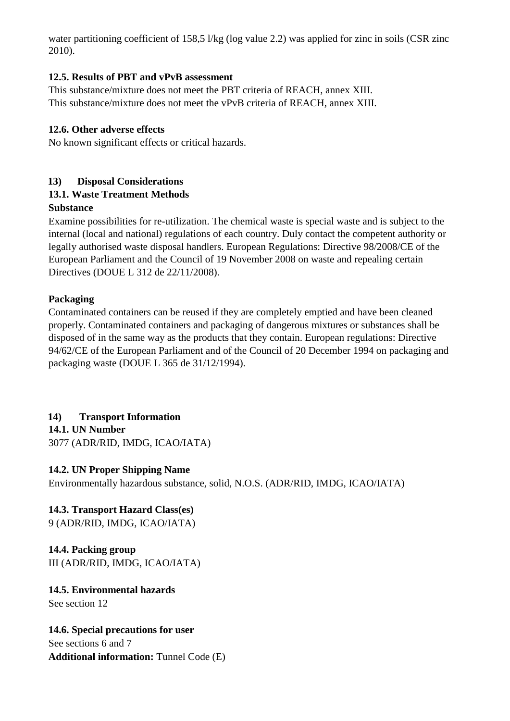water partitioning coefficient of 158,5 l/kg (log value 2.2) was applied for zinc in soils (CSR zinc 2010).

## **12.5. Results of PBT and vPvB assessment**

This substance/mixture does not meet the PBT criteria of REACH, annex XIII. This substance/mixture does not meet the vPvB criteria of REACH, annex XIII.

## **12.6. Other adverse effects**

No known significant effects or critical hazards.

# **13) Disposal Considerations**

# **13.1. Waste Treatment Methods**

## **Substance**

Examine possibilities for re-utilization. The chemical waste is special waste and is subject to the internal (local and national) regulations of each country. Duly contact the competent authority or legally authorised waste disposal handlers. European Regulations: Directive 98/2008/CE of the European Parliament and the Council of 19 November 2008 on waste and repealing certain Directives (DOUE L 312 de 22/11/2008).

## **Packaging**

Contaminated containers can be reused if they are completely emptied and have been cleaned properly. Contaminated containers and packaging of dangerous mixtures or substances shall be disposed of in the same way as the products that they contain. European regulations: Directive 94/62/CE of the European Parliament and of the Council of 20 December 1994 on packaging and packaging waste (DOUE L 365 de 31/12/1994).

# **14) Transport Information**

**14.1. UN Number**

3077 (ADR/RID, IMDG, ICAO/IATA)

# **14.2. UN Proper Shipping Name**

Environmentally hazardous substance, solid, N.O.S. (ADR/RID, IMDG, ICAO/IATA)

# **14.3. Transport Hazard Class(es)**

9 (ADR/RID, IMDG, ICAO/IATA)

**14.4. Packing group** III (ADR/RID, IMDG, ICAO/IATA)

**14.5. Environmental hazards** See section 12

**14.6. Special precautions for user** See sections 6 and 7 **Additional information:** Tunnel Code (E)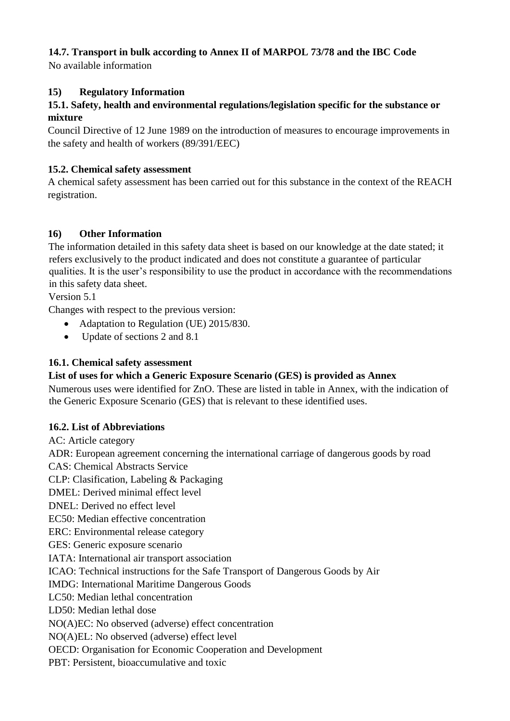# **14.7. Transport in bulk according to Annex II of MARPOL 73/78 and the IBC Code**

No available information

## **15) Regulatory Information**

## **15.1. Safety, health and environmental regulations/legislation specific for the substance or mixture**

Council Directive of 12 June 1989 on the introduction of measures to encourage improvements in the safety and health of workers (89/391/EEC)

## **15.2. Chemical safety assessment**

A chemical safety assessment has been carried out for this substance in the context of the REACH registration.

# **16) Other Information**

The information detailed in this safety data sheet is based on our knowledge at the date stated; it refers exclusively to the product indicated and does not constitute a guarantee of particular qualities. It is the user's responsibility to use the product in accordance with the recommendations in this safety data sheet.

Version 5.1

Changes with respect to the previous version:

- Adaptation to Regulation (UE) 2015/830.
- Update of sections 2 and 8.1

## **16.1. Chemical safety assessment**

## **List of uses for which a Generic Exposure Scenario (GES) is provided as Annex**

Numerous uses were identified for ZnO. These are listed in table in Annex, with the indication of the Generic Exposure Scenario (GES) that is relevant to these identified uses.

## **16.2. List of Abbreviations**

AC: Article category ADR: European agreement concerning the international carriage of dangerous goods by road CAS: Chemical Abstracts Service CLP: Clasification, Labeling & Packaging DMEL: Derived minimal effect level DNEL: Derived no effect level EC50: Median effective concentration ERC: Environmental release category GES: Generic exposure scenario IATA: International air transport association ICAO: Technical instructions for the Safe Transport of Dangerous Goods by Air IMDG: International Maritime Dangerous Goods LC50: Median lethal concentration LD50: Median lethal dose NO(A)EC: No observed (adverse) effect concentration NO(A)EL: No observed (adverse) effect level OECD: Organisation for Economic Cooperation and Development PBT: Persistent, bioaccumulative and toxic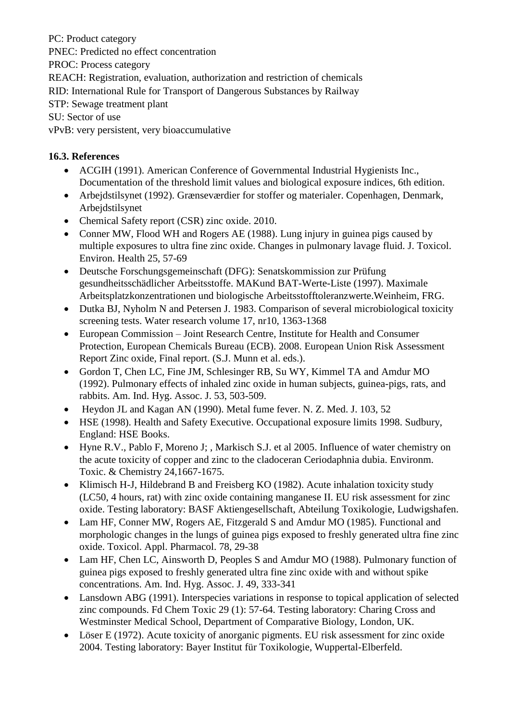PC: Product category

PNEC: Predicted no effect concentration

PROC: Process category

REACH: Registration, evaluation, authorization and restriction of chemicals

RID: International Rule for Transport of Dangerous Substances by Railway

STP: Sewage treatment plant

SU: Sector of use

vPvB: very persistent, very bioaccumulative

# **16.3. References**

- ACGIH (1991). American Conference of Governmental Industrial Hygienists Inc., Documentation of the threshold limit values and biological exposure indices, 6th edition.
- Arbejdstilsynet (1992). Grænseværdier for stoffer og materialer. Copenhagen, Denmark, Arbejdstilsynet
- Chemical Safety report (CSR) zinc oxide. 2010.
- Conner MW, Flood WH and Rogers AE (1988). Lung injury in guinea pigs caused by multiple exposures to ultra fine zinc oxide. Changes in pulmonary lavage fluid. J. Toxicol. Environ. Health 25, 57-69
- Deutsche Forschungsgemeinschaft (DFG): Senatskommission zur Prüfung gesundheitsschädlicher Arbeitsstoffe. MAKund BAT-Werte-Liste (1997). Maximale Arbeitsplatzkonzentrationen und biologische Arbeitsstofftoleranzwerte.Weinheim, FRG.
- Dutka BJ, Nyholm N and Petersen J. 1983. Comparison of several microbiological toxicity screening tests. Water research volume 17, nr10, 1363-1368
- European Commission Joint Research Centre, Institute for Health and Consumer Protection, European Chemicals Bureau (ECB). 2008. European Union Risk Assessment Report Zinc oxide, Final report. (S.J. Munn et al. eds.).
- Gordon T, Chen LC, Fine JM, Schlesinger RB, Su WY, Kimmel TA and Amdur MO (1992). Pulmonary effects of inhaled zinc oxide in human subjects, guinea-pigs, rats, and rabbits. Am. Ind. Hyg. Assoc. J. 53, 503-509.
- Heydon JL and Kagan AN (1990). Metal fume fever. N. Z. Med. J. 103, 52
- HSE (1998). Health and Safety Executive. Occupational exposure limits 1998. Sudbury, England: HSE Books.
- Hyne R.V., Pablo F, Moreno J; , Markisch S.J. et al 2005. Influence of water chemistry on the acute toxicity of copper and zinc to the cladoceran Ceriodaphnia dubia. Environm. Toxic. & Chemistry 24,1667-1675.
- Klimisch H-J, Hildebrand B and Freisberg KO (1982). Acute inhalation toxicity study (LC50, 4 hours, rat) with zinc oxide containing manganese II. EU risk assessment for zinc oxide. Testing laboratory: BASF Aktiengesellschaft, Abteilung Toxikologie, Ludwigshafen.
- Lam HF, Conner MW, Rogers AE, Fitzgerald S and Amdur MO (1985). Functional and morphologic changes in the lungs of guinea pigs exposed to freshly generated ultra fine zinc oxide. Toxicol. Appl. Pharmacol. 78, 29-38
- Lam HF, Chen LC, Ainsworth D, Peoples S and Amdur MO (1988). Pulmonary function of guinea pigs exposed to freshly generated ultra fine zinc oxide with and without spike concentrations. Am. Ind. Hyg. Assoc. J. 49, 333-341
- Lansdown ABG (1991). Interspecies variations in response to topical application of selected zinc compounds. Fd Chem Toxic 29 (1): 57-64. Testing laboratory: Charing Cross and Westminster Medical School, Department of Comparative Biology, London, UK.
- Löser E (1972). Acute toxicity of anorganic pigments. EU risk assessment for zinc oxide 2004. Testing laboratory: Bayer Institut für Toxikologie, Wuppertal-Elberfeld.